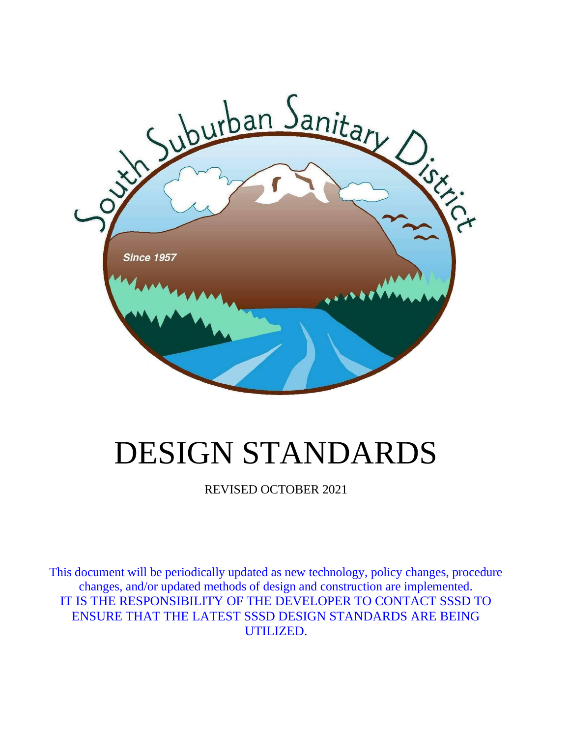

# DESIGN STANDARDS

REVISED OCTOBER 2021

This document will be periodically updated as new technology, policy changes, procedure changes, and/or updated methods of design and construction are implemented. IT IS THE RESPONSIBILITY OF THE DEVELOPER TO CONTACT SSSD TO ENSURE THAT THE LATEST SSSD DESIGN STANDARDS ARE BEING UTILIZED.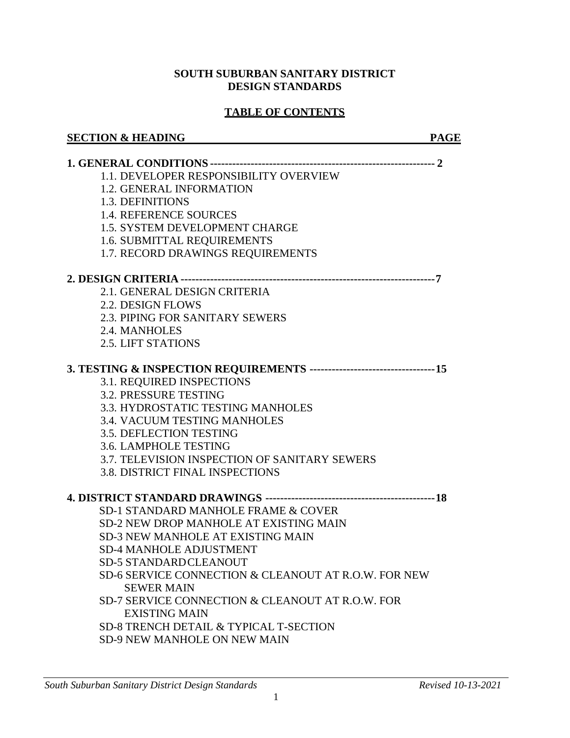#### **SOUTH SUBURBAN SANITARY DISTRICT DESIGN STANDARDS**

#### **TABLE OF CONTENTS**

#### **SECTION & HEADING PAGE**

| 1.1. DEVELOPER RESPONSIBILITY OVERVIEW               |
|------------------------------------------------------|
| 1.2. GENERAL INFORMATION                             |
| 1.3. DEFINITIONS                                     |
| <b>1.4. REFERENCE SOURCES</b>                        |
| 1.5. SYSTEM DEVELOPMENT CHARGE                       |
| 1.6. SUBMITTAL REQUIREMENTS                          |
| 1.7. RECORD DRAWINGS REQUIREMENTS                    |
|                                                      |
|                                                      |
| 2.1. GENERAL DESIGN CRITERIA                         |
| 2.2. DESIGN FLOWS                                    |
| 2.3. PIPING FOR SANITARY SEWERS                      |
| 2.4. MANHOLES                                        |
| 2.5. LIFT STATIONS                                   |
|                                                      |
| 3.1. REQUIRED INSPECTIONS                            |
| 3.2. PRESSURE TESTING                                |
| 3.3. HYDROSTATIC TESTING MANHOLES                    |
| 3.4. VACUUM TESTING MANHOLES                         |
| 3.5. DEFLECTION TESTING                              |
| 3.6. LAMPHOLE TESTING                                |
| 3.7. TELEVISION INSPECTION OF SANITARY SEWERS        |
| <b>3.8. DISTRICT FINAL INSPECTIONS</b>               |
|                                                      |
| SD-1 STANDARD MANHOLE FRAME & COVER                  |
| SD-2 NEW DROP MANHOLE AT EXISTING MAIN               |
| <b>SD-3 NEW MANHOLE AT EXISTING MAIN</b>             |
| <b>SD-4 MANHOLE ADJUSTMENT</b>                       |
| <b>SD-5 STANDARDCLEANOUT</b>                         |
| SD-6 SERVICE CONNECTION & CLEANOUT AT R.O.W. FOR NEW |
| <b>SEWER MAIN</b>                                    |
| SD-7 SERVICE CONNECTION & CLEANOUT AT R.O.W. FOR     |
| <b>EXISTING MAIN</b>                                 |
| SD-8 TRENCH DETAIL & TYPICAL T-SECTION               |
| <b>SD-9 NEW MANHOLE ON NEW MAIN</b>                  |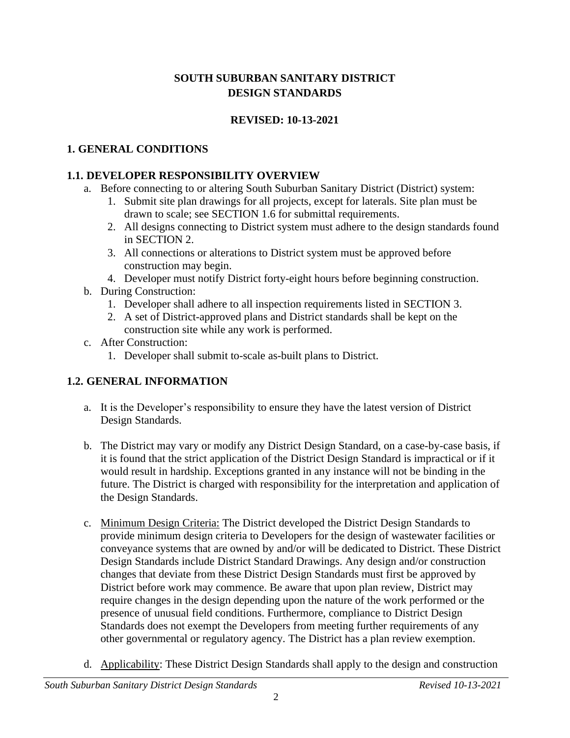# **SOUTH SUBURBAN SANITARY DISTRICT DESIGN STANDARDS**

# **REVISED: 10-13-2021**

# **1. GENERAL CONDITIONS**

# **1.1. DEVELOPER RESPONSIBILITY OVERVIEW**

- a. Before connecting to or altering South Suburban Sanitary District (District) system:
	- 1. Submit site plan drawings for all projects, except for laterals. Site plan must be drawn to scale; see SECTION 1.6 for submittal requirements.
	- 2. All designs connecting to District system must adhere to the design standards found in SECTION 2.
	- 3. All connections or alterations to District system must be approved before construction may begin.
	- 4. Developer must notify District forty-eight hours before beginning construction.
- b. During Construction:
	- 1. Developer shall adhere to all inspection requirements listed in SECTION 3.
	- 2. A set of District-approved plans and District standards shall be kept on the construction site while any work is performed.
- c. After Construction:
	- 1. Developer shall submit to-scale as-built plans to District.

# **1.2. GENERAL INFORMATION**

- a. It is the Developer's responsibility to ensure they have the latest version of District Design Standards.
- b. The District may vary or modify any District Design Standard, on a case-by-case basis, if it is found that the strict application of the District Design Standard is impractical or if it would result in hardship. Exceptions granted in any instance will not be binding in the future. The District is charged with responsibility for the interpretation and application of the Design Standards.
- c. Minimum Design Criteria: The District developed the District Design Standards to provide minimum design criteria to Developers for the design of wastewater facilities or conveyance systems that are owned by and/or will be dedicated to District. These District Design Standards include District Standard Drawings. Any design and/or construction changes that deviate from these District Design Standards must first be approved by District before work may commence. Be aware that upon plan review, District may require changes in the design depending upon the nature of the work performed or the presence of unusual field conditions. Furthermore, compliance to District Design Standards does not exempt the Developers from meeting further requirements of any other governmental or regulatory agency. The District has a plan review exemption.
- d. Applicability: These District Design Standards shall apply to the design and construction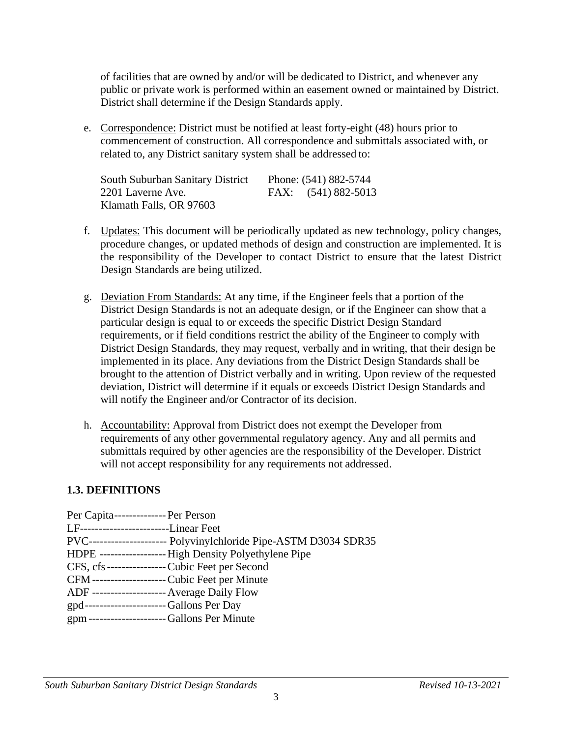of facilities that are owned by and/or will be dedicated to District, and whenever any public or private work is performed within an easement owned or maintained by District. District shall determine if the Design Standards apply.

e. Correspondence: District must be notified at least forty-eight (48) hours prior to commencement of construction. All correspondence and submittals associated with, or related to, any District sanitary system shall be addressed to:

| <b>South Suburban Sanitary District</b> | Phone: (541) 882-5744 |
|-----------------------------------------|-----------------------|
| 2201 Laverne Ave.                       | FAX: (541) 882-5013   |
| Klamath Falls, OR 97603                 |                       |

- f. Updates: This document will be periodically updated as new technology, policy changes, procedure changes, or updated methods of design and construction are implemented. It is the responsibility of the Developer to contact District to ensure that the latest District Design Standards are being utilized.
- g. Deviation From Standards: At any time, if the Engineer feels that a portion of the District Design Standards is not an adequate design, or if the Engineer can show that a particular design is equal to or exceeds the specific District Design Standard requirements, or if field conditions restrict the ability of the Engineer to comply with District Design Standards, they may request, verbally and in writing, that their design be implemented in its place. Any deviations from the District Design Standards shall be brought to the attention of District verbally and in writing. Upon review of the requested deviation, District will determine if it equals or exceeds District Design Standards and will notify the Engineer and/or Contractor of its decision.
- h. Accountability: Approval from District does not exempt the Developer from requirements of any other governmental regulatory agency. Any and all permits and submittals required by other agencies are the responsibility of the Developer. District will not accept responsibility for any requirements not addressed.

#### **1.3. DEFINITIONS**

| Per Capita--------------- Per Person          |                                                                   |
|-----------------------------------------------|-------------------------------------------------------------------|
| LF-----------------------Linear Feet          |                                                                   |
|                                               | PVC---------------------- Polyvinylchloride Pipe-ASTM D3034 SDR35 |
|                                               | HDPE ------------------- High Density Polyethylene Pipe           |
|                                               | CFS, cfs----------------- Cubic Feet per Second                   |
|                                               | CFM--------------------- Cubic Feet per Minute                    |
| ADF -------------------- Average Daily Flow   |                                                                   |
| gpd-----------------------Gallons Per Day     |                                                                   |
| gpm ---------------------- Gallons Per Minute |                                                                   |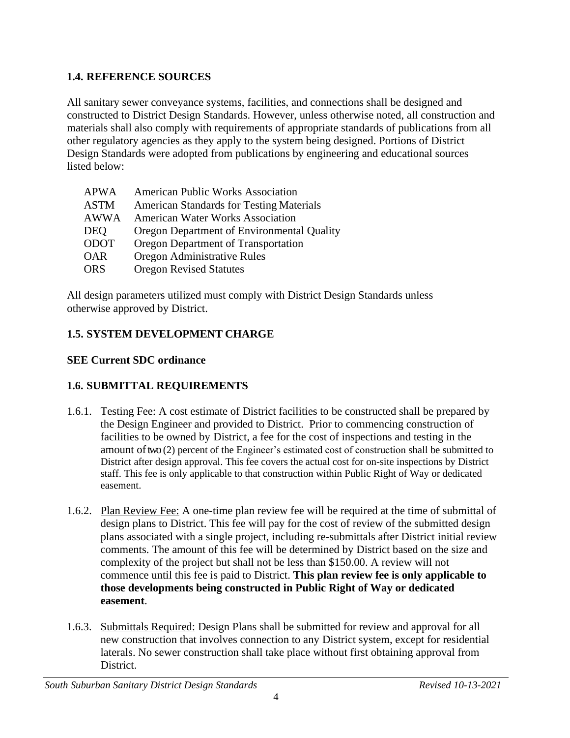# **1.4. REFERENCE SOURCES**

All sanitary sewer conveyance systems, facilities, and connections shall be designed and constructed to District Design Standards. However, unless otherwise noted, all construction and materials shall also comply with requirements of appropriate standards of publications from all other regulatory agencies as they apply to the system being designed. Portions of District Design Standards were adopted from publications by engineering and educational sources listed below:

| <b>APWA</b> | <b>American Public Works Association</b>        |
|-------------|-------------------------------------------------|
| <b>ASTM</b> | <b>American Standards for Testing Materials</b> |
| <b>AWWA</b> | <b>American Water Works Association</b>         |
| DEQ         | Oregon Department of Environmental Quality      |
| <b>ODOT</b> | Oregon Department of Transportation             |
| <b>OAR</b>  | Oregon Administrative Rules                     |
| <b>ORS</b>  | <b>Oregon Revised Statutes</b>                  |
|             |                                                 |

All design parameters utilized must comply with District Design Standards unless otherwise approved by District.

# **1.5. SYSTEM DEVELOPMENT CHARGE**

# **SEE Current SDC ordinance**

# **1.6. SUBMITTAL REQUIREMENTS**

- 1.6.1. Testing Fee: A cost estimate of District facilities to be constructed shall be prepared by the Design Engineer and provided to District. Prior to commencing construction of facilities to be owned by District, a fee for the cost of inspections and testing in the amount oftwo (2) percent of the Engineer's estimated cost of construction shall be submitted to District after design approval. This fee covers the actual cost for on-site inspections by District staff. This fee is only applicable to that construction within Public Right of Way or dedicated easement.
- 1.6.2. Plan Review Fee: A one-time plan review fee will be required at the time of submittal of design plans to District. This fee will pay for the cost of review of the submitted design plans associated with a single project, including re-submittals after District initial review comments. The amount of this fee will be determined by District based on the size and complexity of the project but shall not be less than \$150.00. A review will not commence until this fee is paid to District. **This plan review fee is only applicable to those developments being constructed in Public Right of Way or dedicated easement**.
- 1.6.3. Submittals Required: Design Plans shall be submitted for review and approval for all new construction that involves connection to any District system, except for residential laterals. No sewer construction shall take place without first obtaining approval from District.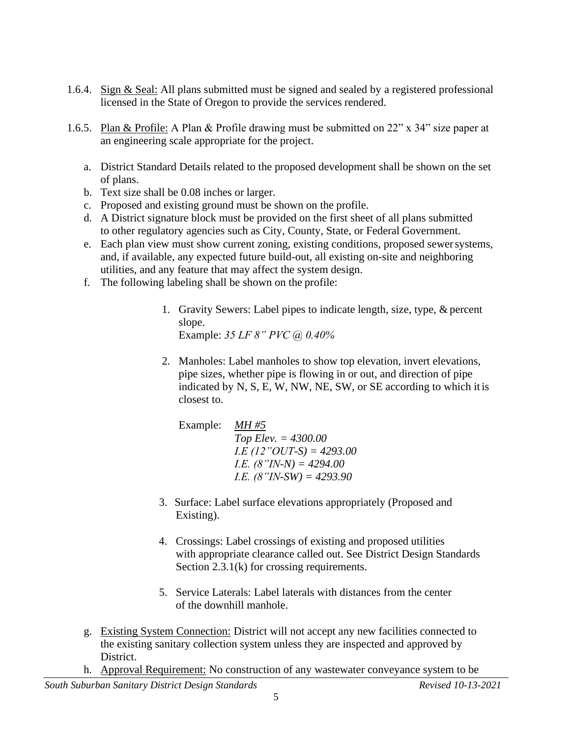- 1.6.4. Sign & Seal: All plans submitted must be signed and sealed by a registered professional licensed in the State of Oregon to provide the services rendered.
- 1.6.5. Plan & Profile: A Plan & Profile drawing must be submitted on 22" x 34" size paper at an engineering scale appropriate for the project.
	- a. District Standard Details related to the proposed development shall be shown on the set of plans.
	- b. Text size shall be 0.08 inches or larger.
	- c. Proposed and existing ground must be shown on the profile.
	- d. A District signature block must be provided on the first sheet of all plans submitted to other regulatory agencies such as City, County, State, or Federal Government.
	- e. Each plan view must show current zoning, existing conditions, proposed sewersystems, and, if available, any expected future build-out, all existing on-site and neighboring utilities, and any feature that may affect the system design.
	- f. The following labeling shall be shown on the profile:
		- 1. Gravity Sewers: Label pipes to indicate length, size, type, & percent slope. Example: *35 LF 8" PVC @ 0.40%*
		- 2. Manholes: Label manholes to show top elevation, invert elevations, pipe sizes, whether pipe is flowing in or out, and direction of pipe indicated by N, S, E, W, NW, NE, SW, or SE according to which it is closest to.

Example: *MH #5 Top Elev. = 4300.00 I.E (12"OUT-S) = 4293.00 I.E. (8"IN-N) = 4294.00 I.E. (8"IN-SW) = 4293.90*

- 3. Surface: Label surface elevations appropriately (Proposed and Existing).
- 4. Crossings: Label crossings of existing and proposed utilities with appropriate clearance called out. See District Design Standards Section 2.3.1(k) for crossing requirements.
- 5. Service Laterals: Label laterals with distances from the center of the downhill manhole.
- g. Existing System Connection: District will not accept any new facilities connected to the existing sanitary collection system unless they are inspected and approved by District.
- h. Approval Requirement: No construction of any wastewater conveyance system to be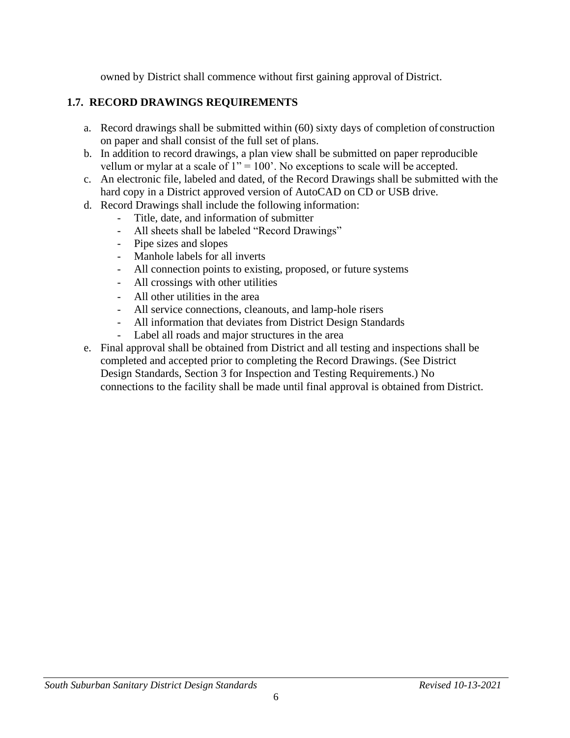owned by District shall commence without first gaining approval of District.

# **1.7. RECORD DRAWINGS REQUIREMENTS**

- a. Record drawings shall be submitted within (60) sixty days of completion of construction on paper and shall consist of the full set of plans.
- b. In addition to record drawings, a plan view shall be submitted on paper reproducible vellum or mylar at a scale of  $1" = 100'$ . No exceptions to scale will be accepted.
- c. An electronic file, labeled and dated, of the Record Drawings shall be submitted with the hard copy in a District approved version of AutoCAD on CD or USB drive.
- d. Record Drawings shall include the following information:
	- Title, date, and information of submitter
	- All sheets shall be labeled "Record Drawings"
	- Pipe sizes and slopes
	- Manhole labels for all inverts
	- All connection points to existing, proposed, or future systems
	- All crossings with other utilities
	- All other utilities in the area
	- All service connections, cleanouts, and lamp-hole risers
	- All information that deviates from District Design Standards
	- Label all roads and major structures in the area
- e. Final approval shall be obtained from District and all testing and inspections shall be completed and accepted prior to completing the Record Drawings. (See District Design Standards, Section 3 for Inspection and Testing Requirements.) No connections to the facility shall be made until final approval is obtained from District.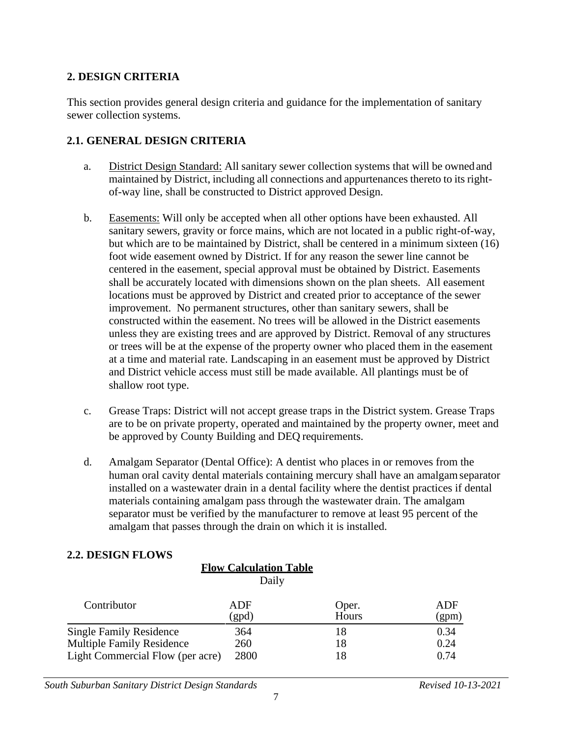#### **2. DESIGN CRITERIA**

This section provides general design criteria and guidance for the implementation of sanitary sewer collection systems.

#### **2.1. GENERAL DESIGN CRITERIA**

- a. District Design Standard: All sanitary sewer collection systems that will be ownedand maintained by District, including all connections and appurtenances thereto to its rightof-way line, shall be constructed to District approved Design.
- b. Easements: Will only be accepted when all other options have been exhausted. All sanitary sewers, gravity or force mains, which are not located in a public right-of-way, but which are to be maintained by District, shall be centered in a minimum sixteen (16) foot wide easement owned by District. If for any reason the sewer line cannot be centered in the easement, special approval must be obtained by District. Easements shall be accurately located with dimensions shown on the plan sheets. All easement locations must be approved by District and created prior to acceptance of the sewer improvement. No permanent structures, other than sanitary sewers, shall be constructed within the easement. No trees will be allowed in the District easements unless they are existing trees and are approved by District. Removal of any structures or trees will be at the expense of the property owner who placed them in the easement at a time and material rate. Landscaping in an easement must be approved by District and District vehicle access must still be made available. All plantings must be of shallow root type.
- c. Grease Traps: District will not accept grease traps in the District system. Grease Traps are to be on private property, operated and maintained by the property owner, meet and be approved by County Building and DEQ requirements.
- d. Amalgam Separator (Dental Office): A dentist who places in or removes from the human oral cavity dental materials containing mercury shall have an amalgamseparator installed on a wastewater drain in a dental facility where the dentist practices if dental materials containing amalgam pass through the wastewater drain. The amalgam separator must be verified by the manufacturer to remove at least 95 percent of the amalgam that passes through the drain on which it is installed.

# **2.2. DESIGN FLOWS**

|                                  | Daily        |                |              |
|----------------------------------|--------------|----------------|--------------|
| Contributor                      | ADF<br>(gpd) | Oper.<br>Hours | ADF<br>(gpm) |
| <b>Single Family Residence</b>   | 364          | 18             | 0.34         |
| <b>Multiple Family Residence</b> | 260          | 18             | 0.24         |
| Light Commercial Flow (per acre) | 2800         | 18             | 0.74         |

**Flow Calculation Table**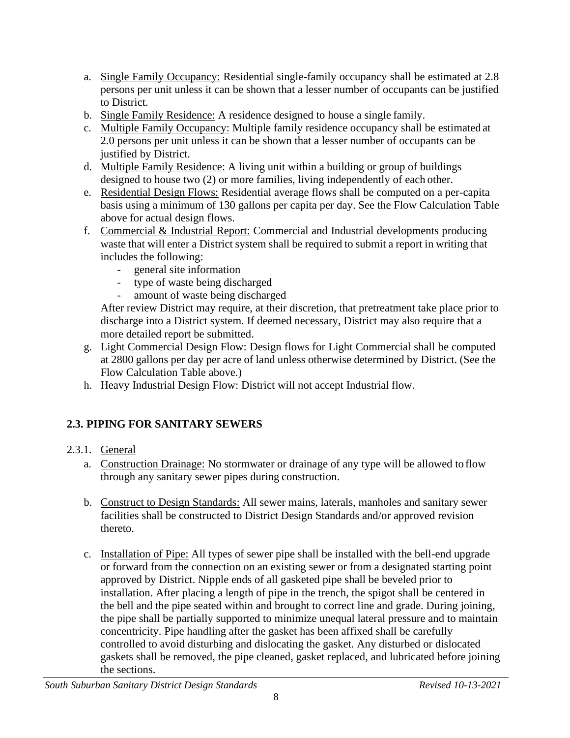- a. Single Family Occupancy: Residential single-family occupancy shall be estimated at 2.8 persons per unit unless it can be shown that a lesser number of occupants can be justified to District.
- b. Single Family Residence: A residence designed to house a single family.
- c. Multiple Family Occupancy: Multiple family residence occupancy shall be estimated at 2.0 persons per unit unless it can be shown that a lesser number of occupants can be justified by District.
- d. Multiple Family Residence: A living unit within a building or group of buildings designed to house two (2) or more families, living independently of each other.
- e. Residential Design Flows: Residential average flows shall be computed on a per-capita basis using a minimum of 130 gallons per capita per day. See the Flow Calculation Table above for actual design flows.
- f. Commercial & Industrial Report: Commercial and Industrial developments producing waste that will enter a District system shall be required to submit a report in writing that includes the following:
	- general site information
	- type of waste being discharged
	- amount of waste being discharged

After review District may require, at their discretion, that pretreatment take place prior to discharge into a District system. If deemed necessary, District may also require that a more detailed report be submitted.

- g. Light Commercial Design Flow: Design flows for Light Commercial shall be computed at 2800 gallons per day per acre of land unless otherwise determined by District. (See the Flow Calculation Table above.)
- h. Heavy Industrial Design Flow: District will not accept Industrial flow.

# **2.3. PIPING FOR SANITARY SEWERS**

#### 2.3.1. General

- a. Construction Drainage: No stormwater or drainage of any type will be allowed to flow through any sanitary sewer pipes during construction.
- b. Construct to Design Standards: All sewer mains, laterals, manholes and sanitary sewer facilities shall be constructed to District Design Standards and/or approved revision thereto.
- c. Installation of Pipe: All types of sewer pipe shall be installed with the bell-end upgrade or forward from the connection on an existing sewer or from a designated starting point approved by District. Nipple ends of all gasketed pipe shall be beveled prior to installation. After placing a length of pipe in the trench, the spigot shall be centered in the bell and the pipe seated within and brought to correct line and grade. During joining, the pipe shall be partially supported to minimize unequal lateral pressure and to maintain concentricity. Pipe handling after the gasket has been affixed shall be carefully controlled to avoid disturbing and dislocating the gasket. Any disturbed or dislocated gaskets shall be removed, the pipe cleaned, gasket replaced, and lubricated before joining the sections.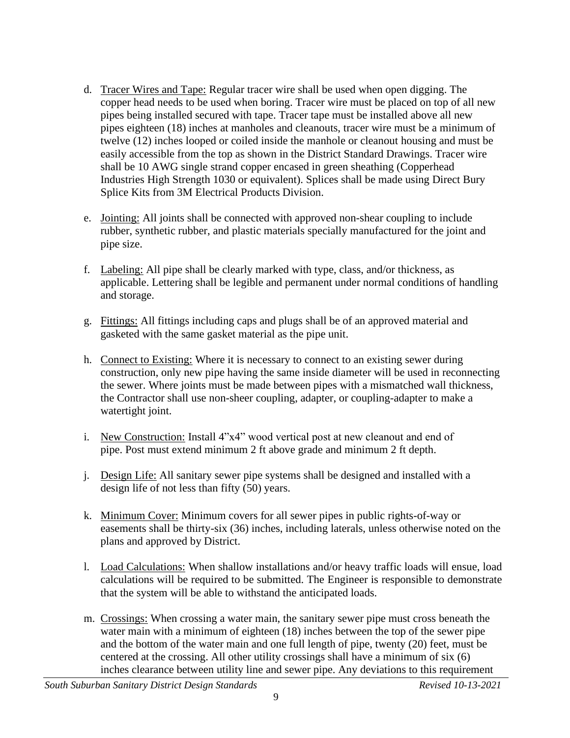- d. Tracer Wires and Tape: Regular tracer wire shall be used when open digging. The copper head needs to be used when boring. Tracer wire must be placed on top of all new pipes being installed secured with tape. Tracer tape must be installed above all new pipes eighteen (18) inches at manholes and cleanouts, tracer wire must be a minimum of twelve (12) inches looped or coiled inside the manhole or cleanout housing and must be easily accessible from the top as shown in the District Standard Drawings. Tracer wire shall be 10 AWG single strand copper encased in green sheathing (Copperhead Industries High Strength 1030 or equivalent). Splices shall be made using Direct Bury Splice Kits from 3M Electrical Products Division.
- e. Jointing: All joints shall be connected with approved non-shear coupling to include rubber, synthetic rubber, and plastic materials specially manufactured for the joint and pipe size.
- f. Labeling: All pipe shall be clearly marked with type, class, and/or thickness, as applicable. Lettering shall be legible and permanent under normal conditions of handling and storage.
- g. Fittings: All fittings including caps and plugs shall be of an approved material and gasketed with the same gasket material as the pipe unit.
- h. Connect to Existing: Where it is necessary to connect to an existing sewer during construction, only new pipe having the same inside diameter will be used in reconnecting the sewer. Where joints must be made between pipes with a mismatched wall thickness, the Contractor shall use non-sheer coupling, adapter, or coupling-adapter to make a watertight joint.
- i. New Construction: Install 4"x4" wood vertical post at new cleanout and end of pipe. Post must extend minimum 2 ft above grade and minimum 2 ft depth.
- j. Design Life: All sanitary sewer pipe systems shall be designed and installed with a design life of not less than fifty (50) years.
- k. Minimum Cover: Minimum covers for all sewer pipes in public rights-of-way or easements shall be thirty-six (36) inches, including laterals, unless otherwise noted on the plans and approved by District.
- l. Load Calculations: When shallow installations and/or heavy traffic loads will ensue, load calculations will be required to be submitted. The Engineer is responsible to demonstrate that the system will be able to withstand the anticipated loads.
- m. Crossings: When crossing a water main, the sanitary sewer pipe must cross beneath the water main with a minimum of eighteen (18) inches between the top of the sewer pipe and the bottom of the water main and one full length of pipe, twenty (20) feet, must be centered at the crossing. All other utility crossings shall have a minimum of six (6) inches clearance between utility line and sewer pipe. Any deviations to this requirement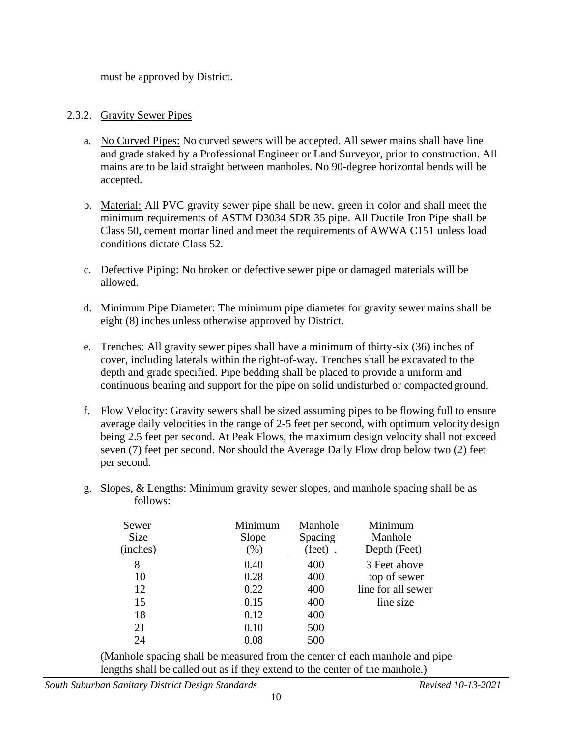must be approved by District.

#### 2.3.2. Gravity Sewer Pipes

- a. No Curved Pipes: No curved sewers will be accepted. All sewer mains shall have line and grade staked by a Professional Engineer or Land Surveyor, prior to construction. All mains are to be laid straight between manholes. No 90-degree horizontal bends will be accepted.
- b. Material: All PVC gravity sewer pipe shall be new, green in color and shall meet the minimum requirements of ASTM D3034 SDR 35 pipe. All Ductile Iron Pipe shall be Class 50, cement mortar lined and meet the requirements of AWWA C151 unless load conditions dictate Class 52.
- c. Defective Piping: No broken or defective sewer pipe or damaged materials will be allowed.
- d. Minimum Pipe Diameter: The minimum pipe diameter for gravity sewer mains shall be eight (8) inches unless otherwise approved by District.
- e. Trenches: All gravity sewer pipes shall have a minimum of thirty-six (36) inches of cover, including laterals within the right-of-way. Trenches shall be excavated to the depth and grade specified. Pipe bedding shall be placed to provide a uniform and continuous bearing and support for the pipe on solid undisturbed or compacted ground.
- f. Flow Velocity: Gravity sewers shall be sized assuming pipes to be flowing full to ensure average daily velocities in the range of 2-5 feet per second, with optimum velocity design being 2.5 feet per second. At Peak Flows, the maximum design velocity shall not exceed seven (7) feet per second. Nor should the Average Daily Flow drop below two (2) feet per second.
- g. Slopes, & Lengths: Minimum gravity sewer slopes, and manhole spacing shall be as follows:

| Sewer<br><b>Size</b><br>(inches) | Minimum<br>Slope<br>$(\%)$ | Manhole<br>Spacing<br>$(\text{feet})$ . | Minimum<br>Manhole<br>Depth (Feet) |
|----------------------------------|----------------------------|-----------------------------------------|------------------------------------|
| 8                                | 0.40                       | 400                                     | 3 Feet above                       |
| 10                               | 0.28                       | 400                                     | top of sewer                       |
| 12                               | 0.22                       | 400                                     | line for all sewer                 |
| 15                               | 0.15                       | 400                                     | line size                          |
| 18                               | 0.12                       | 400                                     |                                    |
| 21                               | 0.10                       | 500                                     |                                    |
| 24                               | 0.08                       | 500                                     |                                    |

(Manhole spacing shall be measured from the center of each manhole and pipe lengths shall be called out as if they extend to the center of the manhole.)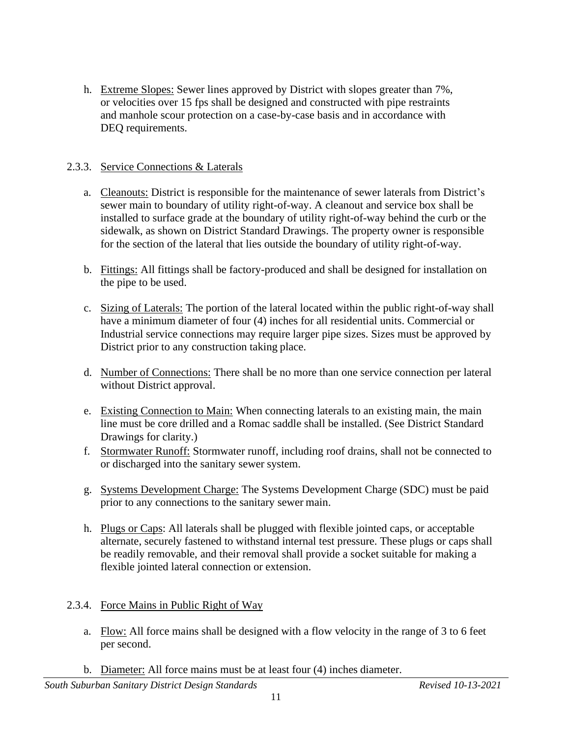h. Extreme Slopes: Sewer lines approved by District with slopes greater than 7%, or velocities over 15 fps shall be designed and constructed with pipe restraints and manhole scour protection on a case-by-case basis and in accordance with DEQ requirements.

#### 2.3.3. Service Connections & Laterals

- a. Cleanouts: District is responsible for the maintenance of sewer laterals from District's sewer main to boundary of utility right-of-way. A cleanout and service box shall be installed to surface grade at the boundary of utility right-of-way behind the curb or the sidewalk, as shown on District Standard Drawings. The property owner is responsible for the section of the lateral that lies outside the boundary of utility right-of-way.
- b. Fittings: All fittings shall be factory-produced and shall be designed for installation on the pipe to be used.
- c. Sizing of Laterals: The portion of the lateral located within the public right-of-way shall have a minimum diameter of four (4) inches for all residential units. Commercial or Industrial service connections may require larger pipe sizes. Sizes must be approved by District prior to any construction taking place.
- d. Number of Connections: There shall be no more than one service connection per lateral without District approval.
- e. Existing Connection to Main: When connecting laterals to an existing main, the main line must be core drilled and a Romac saddle shall be installed. (See District Standard Drawings for clarity.)
- f. Stormwater Runoff: Stormwater runoff, including roof drains, shall not be connected to or discharged into the sanitary sewer system.
- g. Systems Development Charge: The Systems Development Charge (SDC) must be paid prior to any connections to the sanitary sewer main.
- h. Plugs or Caps: All laterals shall be plugged with flexible jointed caps, or acceptable alternate, securely fastened to withstand internal test pressure. These plugs or caps shall be readily removable, and their removal shall provide a socket suitable for making a flexible jointed lateral connection or extension.

#### 2.3.4. Force Mains in Public Right of Way

- a. Flow: All force mains shall be designed with a flow velocity in the range of 3 to 6 feet per second.
- b. Diameter: All force mains must be at least four (4) inches diameter.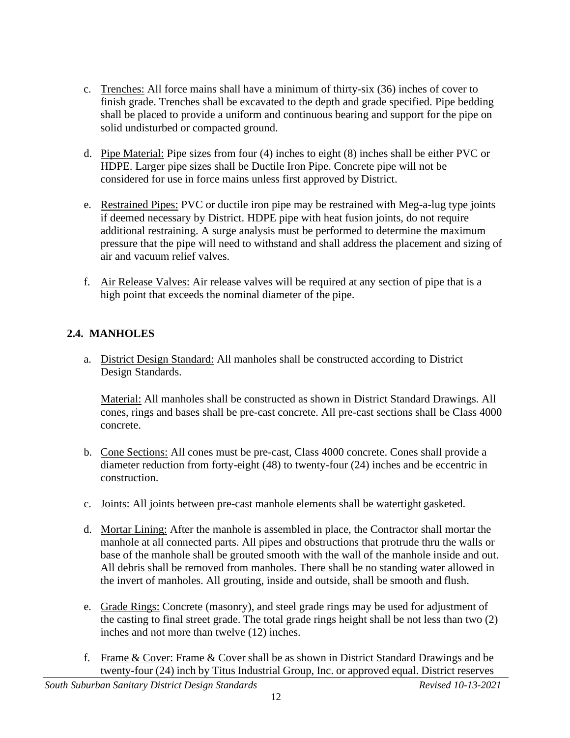- c. Trenches: All force mains shall have a minimum of thirty-six (36) inches of cover to finish grade. Trenches shall be excavated to the depth and grade specified. Pipe bedding shall be placed to provide a uniform and continuous bearing and support for the pipe on solid undisturbed or compacted ground.
- d. Pipe Material: Pipe sizes from four (4) inches to eight (8) inches shall be either PVC or HDPE. Larger pipe sizes shall be Ductile Iron Pipe. Concrete pipe will not be considered for use in force mains unless first approved by District.
- e. Restrained Pipes: PVC or ductile iron pipe may be restrained with Meg-a-lug type joints if deemed necessary by District. HDPE pipe with heat fusion joints, do not require additional restraining. A surge analysis must be performed to determine the maximum pressure that the pipe will need to withstand and shall address the placement and sizing of air and vacuum relief valves.
- f. Air Release Valves: Air release valves will be required at any section of pipe that is a high point that exceeds the nominal diameter of the pipe.

# **2.4. MANHOLES**

a. District Design Standard: All manholes shall be constructed according to District Design Standards.

Material: All manholes shall be constructed as shown in District Standard Drawings. All cones, rings and bases shall be pre-cast concrete. All pre-cast sections shall be Class 4000 concrete.

- b. Cone Sections: All cones must be pre-cast, Class 4000 concrete. Cones shall provide a diameter reduction from forty-eight (48) to twenty-four (24) inches and be eccentric in construction.
- c. Joints: All joints between pre-cast manhole elements shall be watertight gasketed.
- d. Mortar Lining: After the manhole is assembled in place, the Contractor shall mortar the manhole at all connected parts. All pipes and obstructions that protrude thru the walls or base of the manhole shall be grouted smooth with the wall of the manhole inside and out. All debris shall be removed from manholes. There shall be no standing water allowed in the invert of manholes. All grouting, inside and outside, shall be smooth and flush.
- e. Grade Rings: Concrete (masonry), and steel grade rings may be used for adjustment of the casting to final street grade. The total grade rings height shall be not less than two (2) inches and not more than twelve (12) inches.
- f. Frame & Cover: Frame & Cover shall be as shown in District Standard Drawings and be twenty-four (24) inch by Titus Industrial Group, Inc. or approved equal. District reserves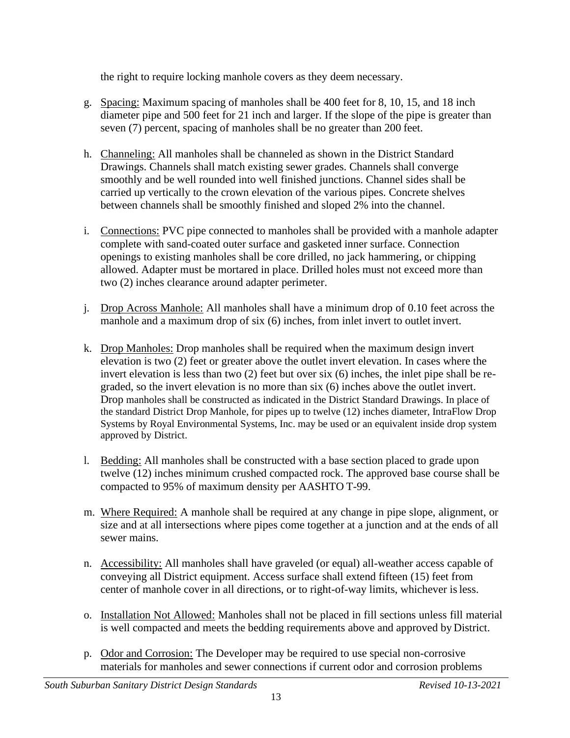the right to require locking manhole covers as they deem necessary.

- g. Spacing: Maximum spacing of manholes shall be 400 feet for 8, 10, 15, and 18 inch diameter pipe and 500 feet for 21 inch and larger. If the slope of the pipe is greater than seven (7) percent, spacing of manholes shall be no greater than 200 feet.
- h. Channeling: All manholes shall be channeled as shown in the District Standard Drawings. Channels shall match existing sewer grades. Channels shall converge smoothly and be well rounded into well finished junctions. Channel sides shall be carried up vertically to the crown elevation of the various pipes. Concrete shelves between channels shall be smoothly finished and sloped 2% into the channel.
- i. Connections: PVC pipe connected to manholes shall be provided with a manhole adapter complete with sand-coated outer surface and gasketed inner surface. Connection openings to existing manholes shall be core drilled, no jack hammering, or chipping allowed. Adapter must be mortared in place. Drilled holes must not exceed more than two (2) inches clearance around adapter perimeter.
- j. Drop Across Manhole: All manholes shall have a minimum drop of 0.10 feet across the manhole and a maximum drop of six (6) inches, from inlet invert to outlet invert.
- k. Drop Manholes: Drop manholes shall be required when the maximum design invert elevation is two (2) feet or greater above the outlet invert elevation. In cases where the invert elevation is less than two (2) feet but over six (6) inches, the inlet pipe shall be regraded, so the invert elevation is no more than six (6) inches above the outlet invert. Drop manholes shall be constructed as indicated in the District Standard Drawings. In place of the standard District Drop Manhole, for pipes up to twelve (12) inches diameter, IntraFlow Drop Systems by Royal Environmental Systems, Inc. may be used or an equivalent inside drop system approved by District.
- l. Bedding: All manholes shall be constructed with a base section placed to grade upon twelve (12) inches minimum crushed compacted rock. The approved base course shall be compacted to 95% of maximum density per AASHTO T-99.
- m. Where Required: A manhole shall be required at any change in pipe slope, alignment, or size and at all intersections where pipes come together at a junction and at the ends of all sewer mains.
- n. Accessibility: All manholes shall have graveled (or equal) all-weather access capable of conveying all District equipment. Access surface shall extend fifteen (15) feet from center of manhole cover in all directions, or to right-of-way limits, whichever isless.
- o. Installation Not Allowed: Manholes shall not be placed in fill sections unless fill material is well compacted and meets the bedding requirements above and approved by District.
- p. Odor and Corrosion: The Developer may be required to use special non-corrosive materials for manholes and sewer connections if current odor and corrosion problems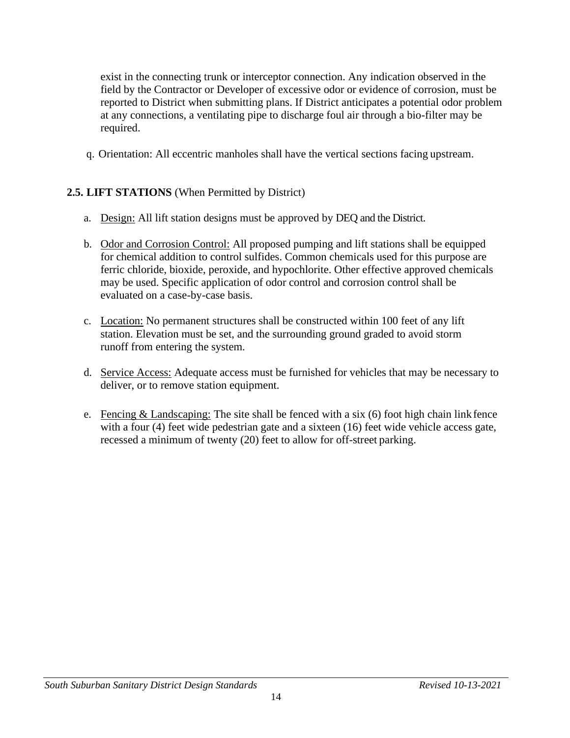exist in the connecting trunk or interceptor connection. Any indication observed in the field by the Contractor or Developer of excessive odor or evidence of corrosion, must be reported to District when submitting plans. If District anticipates a potential odor problem at any connections, a ventilating pipe to discharge foul air through a bio-filter may be required.

q. Orientation: All eccentric manholes shall have the vertical sections facing upstream.

#### **2.5. LIFT STATIONS** (When Permitted by District)

- a. Design: All lift station designs must be approved by DEQ and the District.
- b. Odor and Corrosion Control: All proposed pumping and lift stations shall be equipped for chemical addition to control sulfides. Common chemicals used for this purpose are ferric chloride, bioxide, peroxide, and hypochlorite. Other effective approved chemicals may be used. Specific application of odor control and corrosion control shall be evaluated on a case-by-case basis.
- c. Location: No permanent structures shall be constructed within 100 feet of any lift station. Elevation must be set, and the surrounding ground graded to avoid storm runoff from entering the system.
- d. Service Access: Adequate access must be furnished for vehicles that may be necessary to deliver, or to remove station equipment.
- e. Fencing  $&$  Landscaping: The site shall be fenced with a six (6) foot high chain link fence with a four (4) feet wide pedestrian gate and a sixteen (16) feet wide vehicle access gate, recessed a minimum of twenty (20) feet to allow for off-street parking.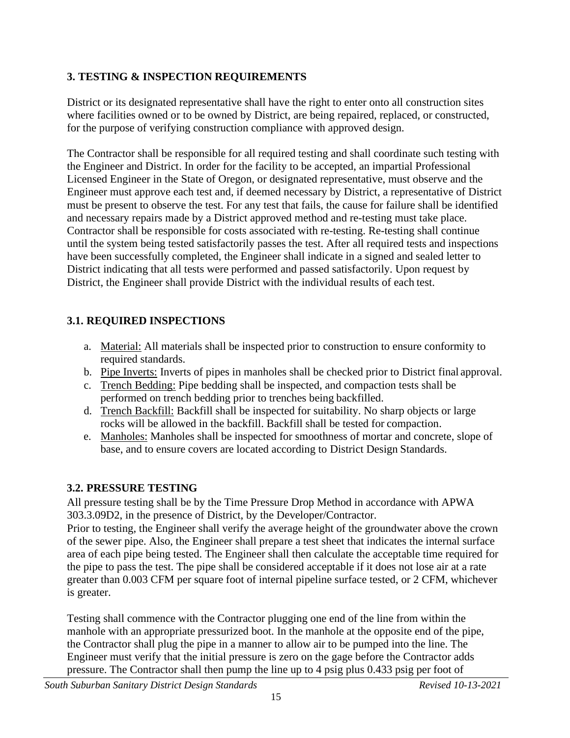# **3. TESTING & INSPECTION REQUIREMENTS**

District or its designated representative shall have the right to enter onto all construction sites where facilities owned or to be owned by District, are being repaired, replaced, or constructed, for the purpose of verifying construction compliance with approved design.

The Contractor shall be responsible for all required testing and shall coordinate such testing with the Engineer and District. In order for the facility to be accepted, an impartial Professional Licensed Engineer in the State of Oregon, or designated representative, must observe and the Engineer must approve each test and, if deemed necessary by District, a representative of District must be present to observe the test. For any test that fails, the cause for failure shall be identified and necessary repairs made by a District approved method and re-testing must take place. Contractor shall be responsible for costs associated with re-testing. Re-testing shall continue until the system being tested satisfactorily passes the test. After all required tests and inspections have been successfully completed, the Engineer shall indicate in a signed and sealed letter to District indicating that all tests were performed and passed satisfactorily. Upon request by District, the Engineer shall provide District with the individual results of each test.

# **3.1. REQUIRED INSPECTIONS**

- a. Material: All materials shall be inspected prior to construction to ensure conformity to required standards.
- b. Pipe Inverts: Inverts of pipes in manholes shall be checked prior to District final approval.
- c. Trench Bedding: Pipe bedding shall be inspected, and compaction tests shall be performed on trench bedding prior to trenches being backfilled.
- d. Trench Backfill: Backfill shall be inspected for suitability. No sharp objects or large rocks will be allowed in the backfill. Backfill shall be tested for compaction.
- e. Manholes: Manholes shall be inspected for smoothness of mortar and concrete, slope of base, and to ensure covers are located according to District Design Standards.

# **3.2. PRESSURE TESTING**

All pressure testing shall be by the Time Pressure Drop Method in accordance with APWA 303.3.09D2, in the presence of District, by the Developer/Contractor.

Prior to testing, the Engineer shall verify the average height of the groundwater above the crown of the sewer pipe. Also, the Engineer shall prepare a test sheet that indicates the internal surface area of each pipe being tested. The Engineer shall then calculate the acceptable time required for the pipe to pass the test. The pipe shall be considered acceptable if it does not lose air at a rate greater than 0.003 CFM per square foot of internal pipeline surface tested, or 2 CFM, whichever is greater.

Testing shall commence with the Contractor plugging one end of the line from within the manhole with an appropriate pressurized boot. In the manhole at the opposite end of the pipe, the Contractor shall plug the pipe in a manner to allow air to be pumped into the line. The Engineer must verify that the initial pressure is zero on the gage before the Contractor adds pressure. The Contractor shall then pump the line up to 4 psig plus 0.433 psig per foot of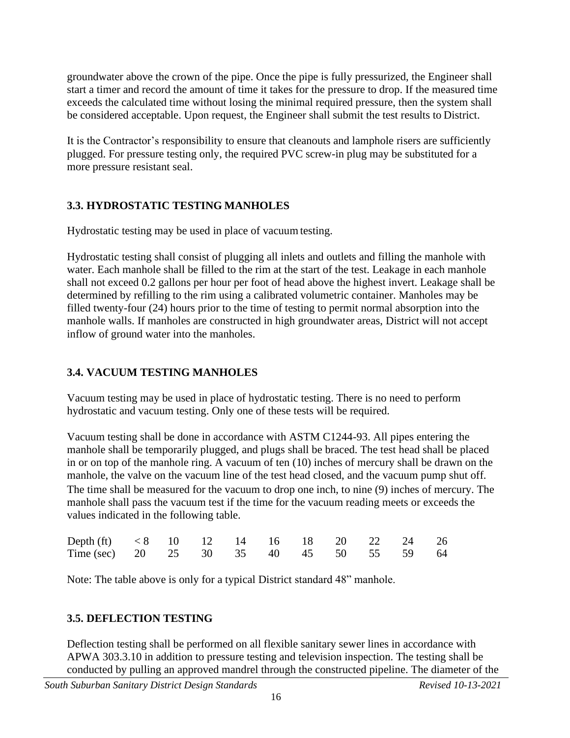groundwater above the crown of the pipe. Once the pipe is fully pressurized, the Engineer shall start a timer and record the amount of time it takes for the pressure to drop. If the measured time exceeds the calculated time without losing the minimal required pressure, then the system shall be considered acceptable. Upon request, the Engineer shall submit the test results to District.

It is the Contractor's responsibility to ensure that cleanouts and lamphole risers are sufficiently plugged. For pressure testing only, the required PVC screw-in plug may be substituted for a more pressure resistant seal.

# **3.3. HYDROSTATIC TESTING MANHOLES**

Hydrostatic testing may be used in place of vacuum testing.

Hydrostatic testing shall consist of plugging all inlets and outlets and filling the manhole with water. Each manhole shall be filled to the rim at the start of the test. Leakage in each manhole shall not exceed 0.2 gallons per hour per foot of head above the highest invert. Leakage shall be determined by refilling to the rim using a calibrated volumetric container. Manholes may be filled twenty-four (24) hours prior to the time of testing to permit normal absorption into the manhole walls. If manholes are constructed in high groundwater areas, District will not accept inflow of ground water into the manholes.

# **3.4. VACUUM TESTING MANHOLES**

Vacuum testing may be used in place of hydrostatic testing. There is no need to perform hydrostatic and vacuum testing. Only one of these tests will be required.

Vacuum testing shall be done in accordance with ASTM C1244-93. All pipes entering the manhole shall be temporarily plugged, and plugs shall be braced. The test head shall be placed in or on top of the manhole ring. A vacuum of ten (10) inches of mercury shall be drawn on the manhole, the valve on the vacuum line of the test head closed, and the vacuum pump shut off. The time shall be measured for the vacuum to drop one inch, to nine (9) inches of mercury. The manhole shall pass the vacuum test if the time for the vacuum reading meets or exceeds the values indicated in the following table.

| Depth (ft) <8 10 12 14 16 18 20 22 24 26 |  |  |  |  |  |
|------------------------------------------|--|--|--|--|--|
| Time (sec) 20 25 30 35 40 45 50 55 59 64 |  |  |  |  |  |

Note: The table above is only for a typical District standard 48" manhole.

# **3.5. DEFLECTION TESTING**

Deflection testing shall be performed on all flexible sanitary sewer lines in accordance with APWA 303.3.10 in addition to pressure testing and television inspection. The testing shall be conducted by pulling an approved mandrel through the constructed pipeline. The diameter of the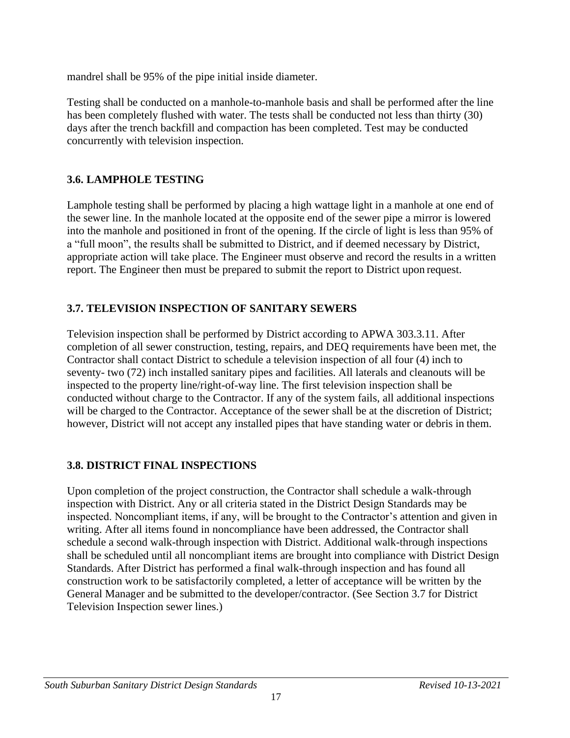mandrel shall be 95% of the pipe initial inside diameter.

Testing shall be conducted on a manhole-to-manhole basis and shall be performed after the line has been completely flushed with water. The tests shall be conducted not less than thirty (30) days after the trench backfill and compaction has been completed. Test may be conducted concurrently with television inspection.

# **3.6. LAMPHOLE TESTING**

Lamphole testing shall be performed by placing a high wattage light in a manhole at one end of the sewer line. In the manhole located at the opposite end of the sewer pipe a mirror is lowered into the manhole and positioned in front of the opening. If the circle of light is less than 95% of a "full moon", the results shall be submitted to District, and if deemed necessary by District, appropriate action will take place. The Engineer must observe and record the results in a written report. The Engineer then must be prepared to submit the report to District upon request.

# **3.7. TELEVISION INSPECTION OF SANITARY SEWERS**

Television inspection shall be performed by District according to APWA 303.3.11. After completion of all sewer construction, testing, repairs, and DEQ requirements have been met, the Contractor shall contact District to schedule a television inspection of all four (4) inch to seventy- two (72) inch installed sanitary pipes and facilities. All laterals and cleanouts will be inspected to the property line/right-of-way line. The first television inspection shall be conducted without charge to the Contractor. If any of the system fails, all additional inspections will be charged to the Contractor. Acceptance of the sewer shall be at the discretion of District; however, District will not accept any installed pipes that have standing water or debris in them.

#### **3.8. DISTRICT FINAL INSPECTIONS**

Upon completion of the project construction, the Contractor shall schedule a walk-through inspection with District. Any or all criteria stated in the District Design Standards may be inspected. Noncompliant items, if any, will be brought to the Contractor's attention and given in writing. After all items found in noncompliance have been addressed, the Contractor shall schedule a second walk-through inspection with District. Additional walk-through inspections shall be scheduled until all noncompliant items are brought into compliance with District Design Standards. After District has performed a final walk-through inspection and has found all construction work to be satisfactorily completed, a letter of acceptance will be written by the General Manager and be submitted to the developer/contractor. (See Section 3.7 for District Television Inspection sewer lines.)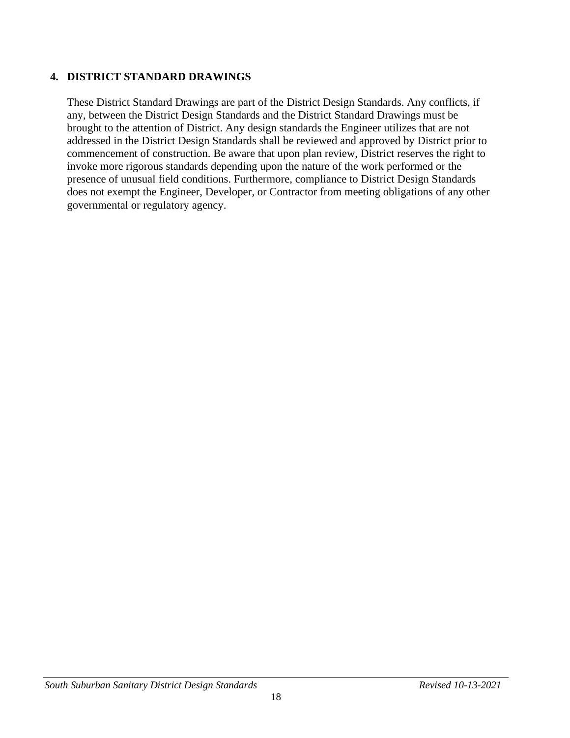## **4. DISTRICT STANDARD DRAWINGS**

These District Standard Drawings are part of the District Design Standards. Any conflicts, if any, between the District Design Standards and the District Standard Drawings must be brought to the attention of District. Any design standards the Engineer utilizes that are not addressed in the District Design Standards shall be reviewed and approved by District prior to commencement of construction. Be aware that upon plan review, District reserves the right to invoke more rigorous standards depending upon the nature of the work performed or the presence of unusual field conditions. Furthermore, compliance to District Design Standards does not exempt the Engineer, Developer, or Contractor from meeting obligations of any other governmental or regulatory agency.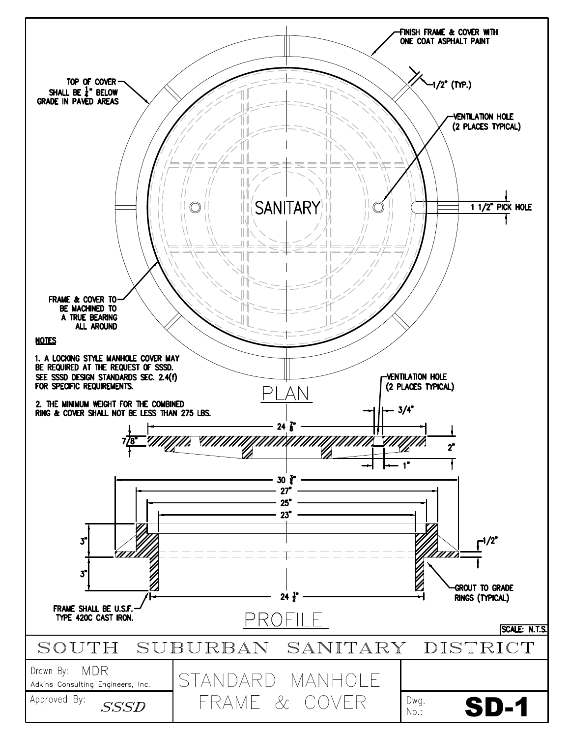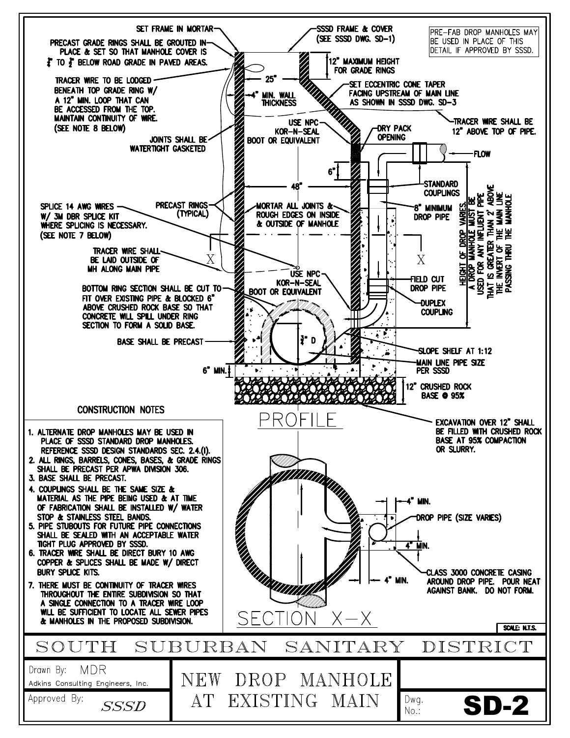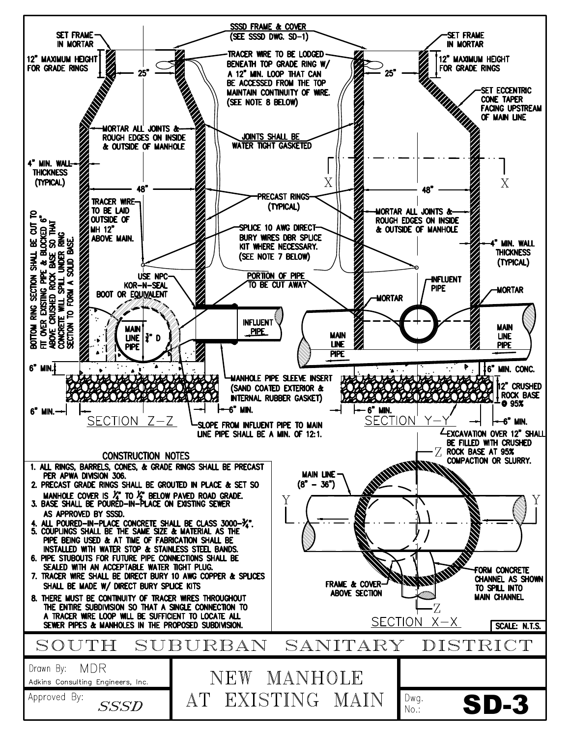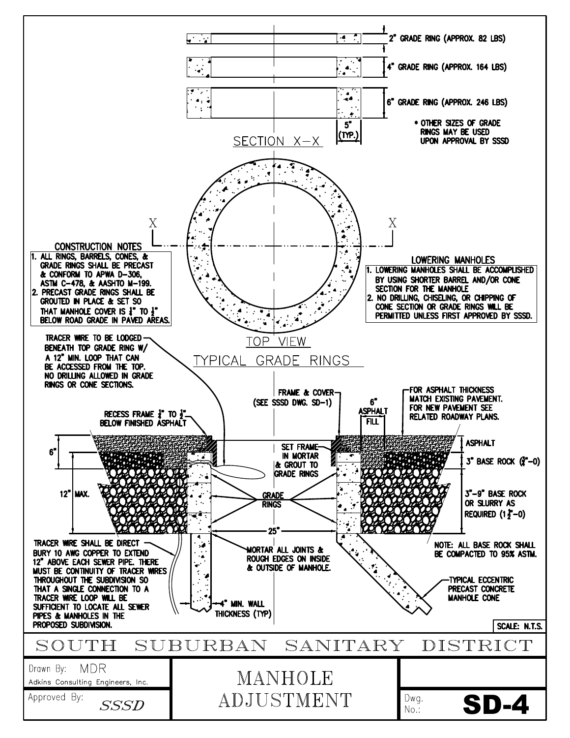